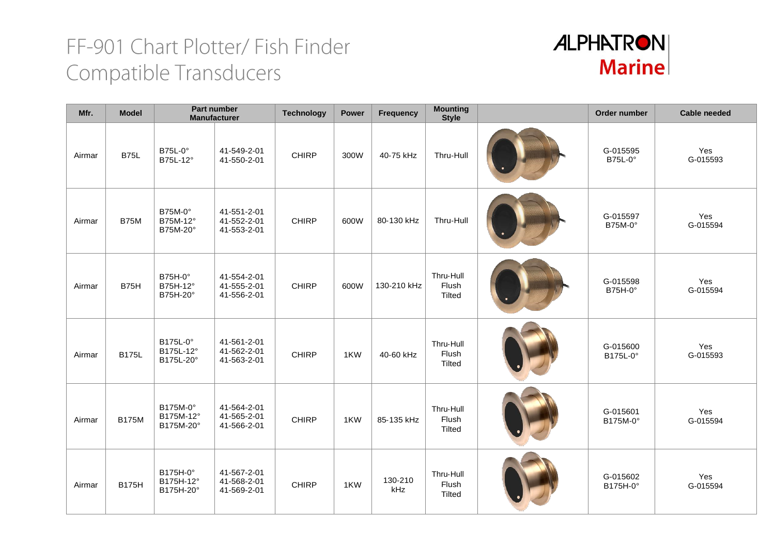

| Mfr.   | <b>Model</b> | Part number<br><b>Manufacturer</b> |                                           | <b>Technology</b> | Power | Frequency      | <b>Mounting</b><br><b>Style</b>     | Order number               | <b>Cable needed</b> |
|--------|--------------|------------------------------------|-------------------------------------------|-------------------|-------|----------------|-------------------------------------|----------------------------|---------------------|
| Airmar | <b>B75L</b>  | <b>B75L-0°</b><br>B75L-12°         | 41-549-2-01<br>41-550-2-01                | <b>CHIRP</b>      | 300W  | 40-75 kHz      | Thru-Hull                           | G-015595<br><b>B75L-0°</b> | Yes<br>G-015593     |
| Airmar | B75M         | B75M-0°<br>B75M-12°<br>B75M-20°    | 41-551-2-01<br>41-552-2-01<br>41-553-2-01 | <b>CHIRP</b>      | 600W  | 80-130 kHz     | Thru-Hull                           | G-015597<br>B75M-0°        | Yes<br>G-015594     |
| Airmar | <b>B75H</b>  | B75H-0°<br>B75H-12°<br>B75H-20°    | 41-554-2-01<br>41-555-2-01<br>41-556-2-01 | <b>CHIRP</b>      | 600W  | 130-210 kHz    | Thru-Hull<br>Flush<br>Tilted        | G-015598<br>B75H-0°        | Yes<br>G-015594     |
| Airmar | <b>B175L</b> | B175L-0°<br>B175L-12°<br>B175L-20° | 41-561-2-01<br>41-562-2-01<br>41-563-2-01 | <b>CHIRP</b>      | 1KW   | 40-60 kHz      | Thru-Hull<br>Flush<br>Tilted        | G-015600<br>B175L-0°       | Yes<br>G-015593     |
| Airmar | <b>B175M</b> | B175M-0°<br>B175M-12°<br>B175M-20° | 41-564-2-01<br>41-565-2-01<br>41-566-2-01 | <b>CHIRP</b>      | 1KW   | 85-135 kHz     | Thru-Hull<br>Flush<br>Tilted        | G-015601<br>B175M-0°       | Yes<br>G-015594     |
| Airmar | <b>B175H</b> | B175H-0°<br>B175H-12°<br>B175H-20° | 41-567-2-01<br>41-568-2-01<br>41-569-2-01 | <b>CHIRP</b>      | 1KW   | 130-210<br>kHz | Thru-Hull<br>Flush<br><b>Tilted</b> | G-015602<br>B175H-0°       | Yes<br>G-015594     |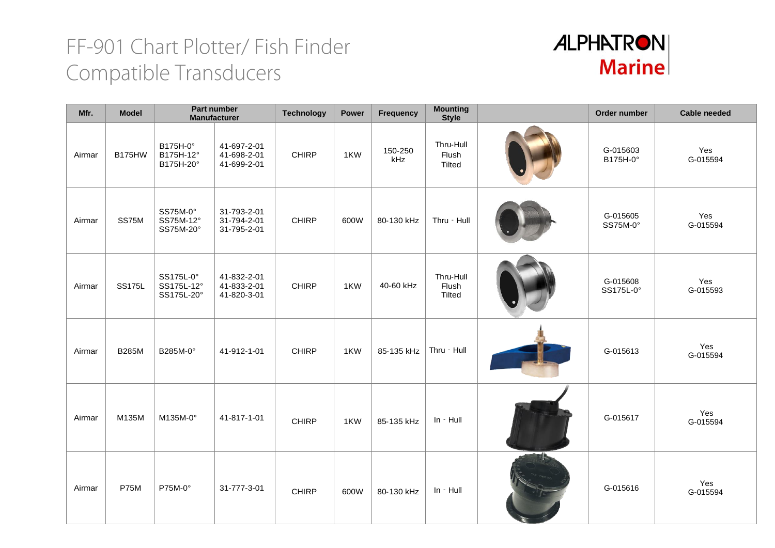

| Mfr.   | <b>Model</b>  |                                       | Part number<br><b>Manufacturer</b>        | <b>Technology</b> | <b>Power</b> | <b>Frequency</b> | <b>Mounting</b><br><b>Style</b> | Order number          | <b>Cable needed</b> |
|--------|---------------|---------------------------------------|-------------------------------------------|-------------------|--------------|------------------|---------------------------------|-----------------------|---------------------|
| Airmar | <b>B175HW</b> | B175H-0°<br>B175H-12°<br>B175H-20°    | 41-697-2-01<br>41-698-2-01<br>41-699-2-01 | <b>CHIRP</b>      | 1KW          | 150-250<br>kHz   | Thru-Hull<br>Flush<br>Tilted    | G-015603<br>B175H-0°  | Yes<br>G-015594     |
| Airmar | SS75M         | SS75M-0°<br>SS75M-12°<br>SS75M-20°    | 31-793-2-01<br>31-794-2-01<br>31-795-2-01 | <b>CHIRP</b>      | 600W         | 80-130 kHz       | Thru - Hull                     | G-015605<br>SS75M-0°  | Yes<br>G-015594     |
| Airmar | <b>SS175L</b> | SS175L-0°<br>SS175L-12°<br>SS175L-20° | 41-832-2-01<br>41-833-2-01<br>41-820-3-01 | <b>CHIRP</b>      | 1KW          | 40-60 kHz        | Thru-Hull<br>Flush<br>Tilted    | G-015608<br>SS175L-0° | Yes<br>G-015593     |
| Airmar | <b>B285M</b>  | B285M-0°                              | 41-912-1-01                               | <b>CHIRP</b>      | 1KW          | 85-135 kHz       | Thru - Hull                     | G-015613              | Yes<br>G-015594     |
| Airmar | M135M         | M135M-0°                              | 41-817-1-01                               | <b>CHIRP</b>      | 1KW          | 85-135 kHz       | In - Hull                       | G-015617              | Yes<br>G-015594     |
| Airmar | <b>P75M</b>   | P75M-0°                               | 31-777-3-01                               | <b>CHIRP</b>      | 600W         | 80-130 kHz       | In - Hull                       | G-015616              | Yes<br>G-015594     |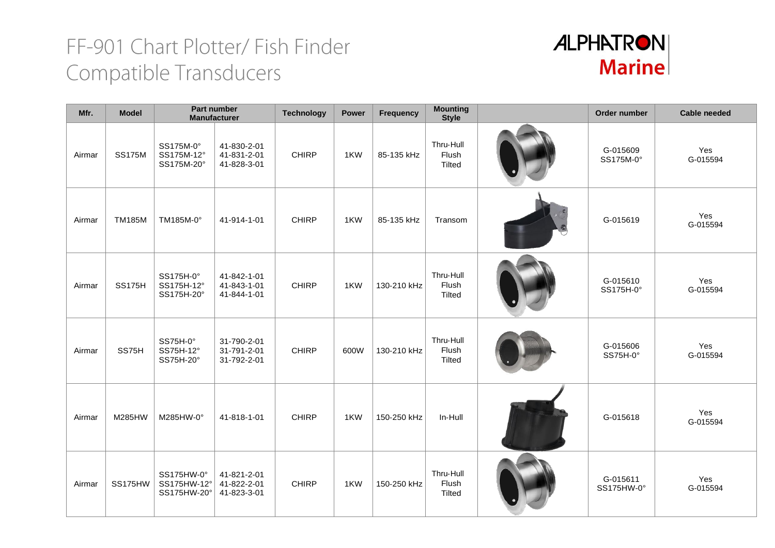

| Mfr.   | <b>Model</b>  | <b>Part number</b><br><b>Manufacturer</b> |                                           | <b>Technology</b> | <b>Power</b> | Frequency   | <b>Mounting</b><br><b>Style</b> | Order number           | <b>Cable needed</b> |
|--------|---------------|-------------------------------------------|-------------------------------------------|-------------------|--------------|-------------|---------------------------------|------------------------|---------------------|
| Airmar | <b>SS175M</b> | SS175M-0°<br>SS175M-12°<br>SS175M-20°     | 41-830-2-01<br>41-831-2-01<br>41-828-3-01 | <b>CHIRP</b>      | 1KW          | 85-135 kHz  | Thru-Hull<br>Flush<br>Tilted    | G-015609<br>SS175M-0°  | Yes<br>G-015594     |
| Airmar | <b>TM185M</b> | TM185M-0°                                 | 41-914-1-01                               | <b>CHIRP</b>      | 1KW          | 85-135 kHz  | Transom                         | G-015619               | Yes<br>G-015594     |
| Airmar | <b>SS175H</b> | SS175H-0°<br>SS175H-12°<br>SS175H-20°     | 41-842-1-01<br>41-843-1-01<br>41-844-1-01 | <b>CHIRP</b>      | 1KW          | 130-210 kHz | Thru-Hull<br>Flush<br>Tilted    | G-015610<br>SS175H-0°  | Yes<br>G-015594     |
| Airmar | SS75H         | SS75H-0°<br>SS75H-12°<br>SS75H-20°        | 31-790-2-01<br>31-791-2-01<br>31-792-2-01 | <b>CHIRP</b>      | 600W         | 130-210 kHz | Thru-Hull<br>Flush<br>Tilted    | G-015606<br>SS75H-0°   | Yes<br>G-015594     |
| Airmar | M285HW        | M285HW-0°                                 | 41-818-1-01                               | <b>CHIRP</b>      | 1KW          | 150-250 kHz | In-Hull                         | G-015618               | Yes<br>G-015594     |
| Airmar | SS175HW       | SS175HW-0°<br>SS175HW-12°<br>SS175HW-20°  | 41-821-2-01<br>41-822-2-01<br>41-823-3-01 | <b>CHIRP</b>      | 1KW          | 150-250 kHz | Thru-Hull<br>Flush<br>Tilted    | G-015611<br>SS175HW-0° | Yes<br>G-015594     |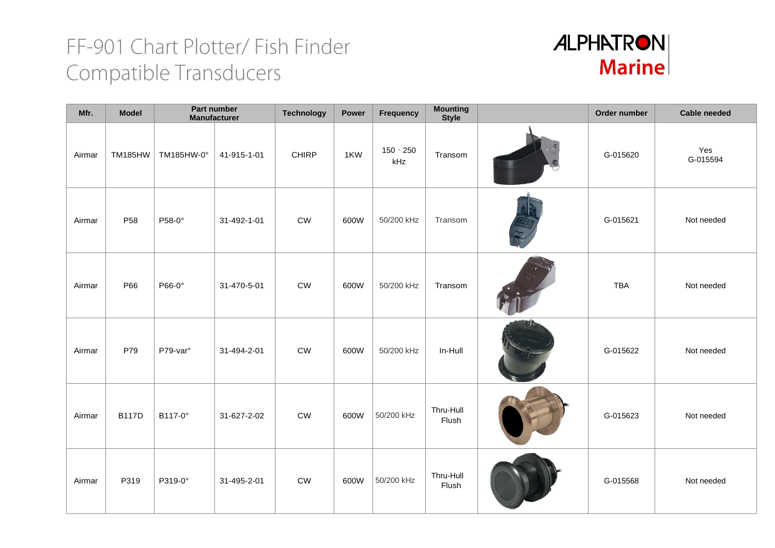

| Mfr.   | <b>Model</b>    |                      | <b>Part number</b><br><b>Manufacturer</b> | <b>Technology</b> | Power | Frequency        | <b>Mounting</b><br><b>Style</b> | Order number | Cable needed    |
|--------|-----------------|----------------------|-------------------------------------------|-------------------|-------|------------------|---------------------------------|--------------|-----------------|
| Airmar | <b>TM185HW</b>  | TM185HW-0°           | 41-915-1-01                               | <b>CHIRP</b>      | 1KW   | 150 - 250<br>kHz | Transom                         | G-015620     | Yes<br>G-015594 |
| Airmar | P <sub>58</sub> | P58-0°               | 31-492-1-01                               | ${\sf\small CW}$  | 600W  | 50/200 kHz       | Transom                         | G-015621     | Not needed      |
| Airmar | P66             | P66-0°               | 31-470-5-01                               | ${\sf\small CW}$  | 600W  | 50/200 kHz       | Transom                         | TBA          | Not needed      |
| Airmar | P79             | P79-var <sup>o</sup> | 31-494-2-01                               | <b>CW</b>         | 600W  | 50/200 kHz       | In-Hull                         | G-015622     | Not needed      |
| Airmar | <b>B117D</b>    | B117-0°              | 31-627-2-02                               | <b>CW</b>         | 600W  | 50/200 kHz       | Thru-Hull<br>Flush              | G-015623     | Not needed      |
| Airmar | P319            | P319-0°              | 31-495-2-01                               | ${\sf\small CW}$  | 600W  | 50/200 kHz       | Thru-Hull<br>Flush              | G-015568     | Not needed      |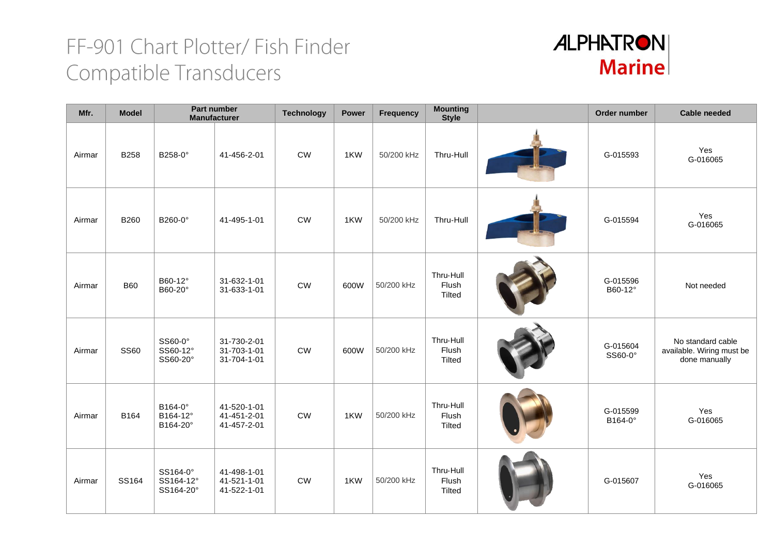

| Mfr.   | <b>Model</b> | Part number<br><b>Manufacturer</b> |                                           | <b>Technology</b> | <b>Power</b> | Frequency  | <b>Mounting</b><br><b>Style</b> | Order number        | <b>Cable needed</b>                                             |
|--------|--------------|------------------------------------|-------------------------------------------|-------------------|--------------|------------|---------------------------------|---------------------|-----------------------------------------------------------------|
| Airmar | <b>B258</b>  | B258-0°                            | 41-456-2-01                               | <b>CW</b>         | 1KW          | 50/200 kHz | Thru-Hull                       | G-015593            | Yes<br>G-016065                                                 |
| Airmar | <b>B260</b>  | B260-0°                            | 41-495-1-01                               | CW                | 1KW          | 50/200 kHz | Thru-Hull                       | G-015594            | Yes<br>G-016065                                                 |
| Airmar | <b>B60</b>   | B60-12°<br>B60-20°                 | 31-632-1-01<br>31-633-1-01                | <b>CW</b>         | 600W         | 50/200 kHz | Thru-Hull<br>Flush<br>Tilted    | G-015596<br>B60-12° | Not needed                                                      |
| Airmar | <b>SS60</b>  | SS60-0°<br>SS60-12°<br>SS60-20°    | 31-730-2-01<br>31-703-1-01<br>31-704-1-01 | <b>CW</b>         | 600W         | 50/200 kHz | Thru-Hull<br>Flush<br>Tilted    | G-015604<br>SS60-0° | No standard cable<br>available. Wiring must be<br>done manually |
| Airmar | B164         | B164-0°<br>B164-12°<br>B164-20°    | 41-520-1-01<br>41-451-2-01<br>41-457-2-01 | <b>CW</b>         | 1KW          | 50/200 kHz | Thru-Hull<br>Flush<br>Tilted    | G-015599<br>B164-0° | Yes<br>G-016065                                                 |
| Airmar | SS164        | SS164-0°<br>SS164-12°<br>SS164-20° | 41-498-1-01<br>41-521-1-01<br>41-522-1-01 | <b>CW</b>         | 1KW          | 50/200 kHz | Thru-Hull<br>Flush<br>Tilted    | G-015607            | Yes<br>G-016065                                                 |